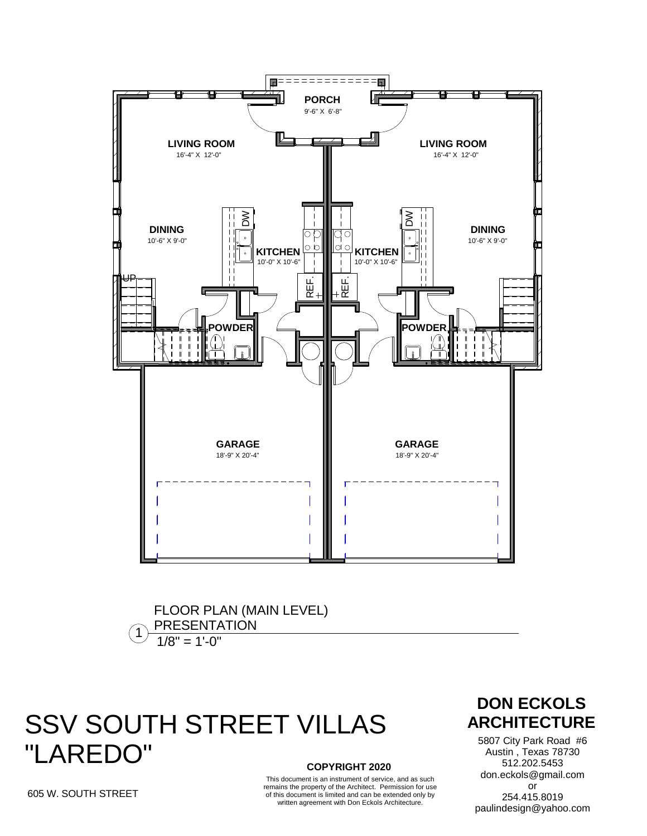

 $1$ <sup>PRESENTA</sup><br> $1/8$ " = 1'-0" FLOOR PLAN (MAIN LEVEL) PRESENTATION

## **COPYRIGHT 2020 SSV SOUTH STREET VILLAS ARCHITECTURE** "LAREDO"

This document is an instrument of service, and as such remains the property of the Architect. Permission for use of this document is limited and can be extended only by written agreement with Don Eckols Architecture.

## **DON ECKOLS**

5807 City Park Road #6 Austin , Texas 78730 512.202.5453 don.eckols@gmail.com or 254.415.8019 paulindesign@yahoo.com

605 W. SOUTH STREET